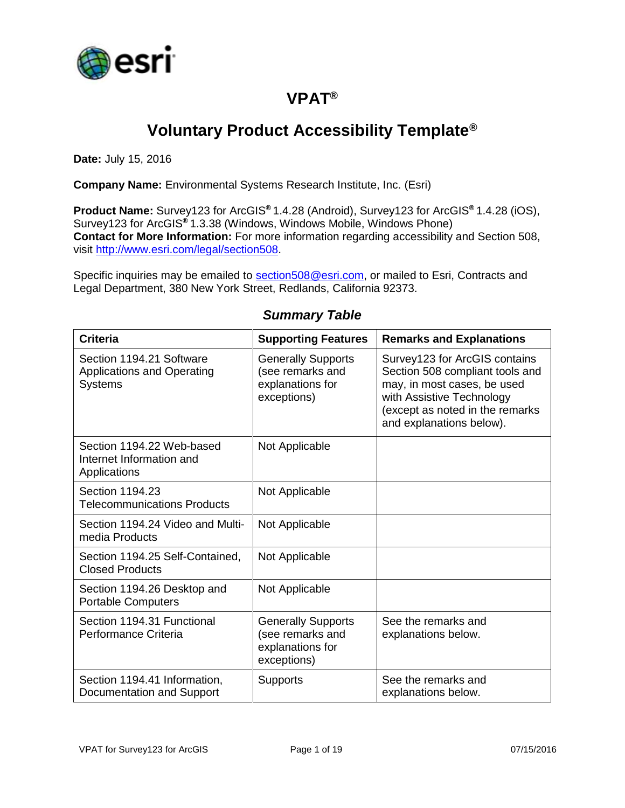

### **VPAT®**

# **Voluntary Product Accessibility Template®**

**Date:** July 15, 2016

**Company Name:** Environmental Systems Research Institute, Inc. (Esri)

**Product Name:** Survey123 for ArcGIS**®** 1.4.28 (Android), Survey123 for ArcGIS**®** 1.4.28 (iOS), Survey123 for ArcGIS**®** 1.3.38 (Windows, Windows Mobile, Windows Phone) **Contact for More Information:** For more information regarding accessibility and Section 508, visit [http://www.esri.com/legal/section508.](http://www.esri.com/legal/section508)

Specific inquiries may be emailed to [section508@esri.com,](mailto:section508@esri.com) or mailed to Esri, Contracts and Legal Department, 380 New York Street, Redlands, California 92373.

| <b>Criteria</b>                                                                 | <b>Supporting Features</b>                                                       | <b>Remarks and Explanations</b>                                                                                                                                                             |
|---------------------------------------------------------------------------------|----------------------------------------------------------------------------------|---------------------------------------------------------------------------------------------------------------------------------------------------------------------------------------------|
| Section 1194.21 Software<br><b>Applications and Operating</b><br><b>Systems</b> | <b>Generally Supports</b><br>(see remarks and<br>explanations for<br>exceptions) | Survey123 for ArcGIS contains<br>Section 508 compliant tools and<br>may, in most cases, be used<br>with Assistive Technology<br>(except as noted in the remarks<br>and explanations below). |
| Section 1194.22 Web-based<br>Internet Information and<br>Applications           | Not Applicable                                                                   |                                                                                                                                                                                             |
| Section 1194.23<br><b>Telecommunications Products</b>                           | Not Applicable                                                                   |                                                                                                                                                                                             |
| Section 1194.24 Video and Multi-<br>media Products                              | Not Applicable                                                                   |                                                                                                                                                                                             |
| Section 1194.25 Self-Contained,<br><b>Closed Products</b>                       | Not Applicable                                                                   |                                                                                                                                                                                             |
| Section 1194.26 Desktop and<br><b>Portable Computers</b>                        | Not Applicable                                                                   |                                                                                                                                                                                             |
| Section 1194.31 Functional<br>Performance Criteria                              | <b>Generally Supports</b><br>(see remarks and<br>explanations for<br>exceptions) | See the remarks and<br>explanations below.                                                                                                                                                  |
| Section 1194.41 Information,<br>Documentation and Support                       | <b>Supports</b>                                                                  | See the remarks and<br>explanations below.                                                                                                                                                  |

#### *Summary Table*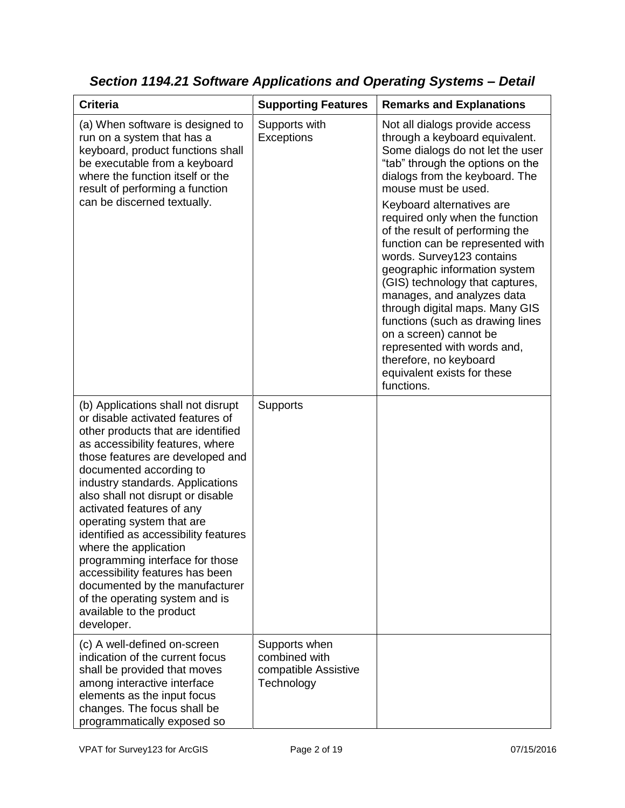| <b>Criteria</b>                                                                                                                                                                                                                                                                                                                                                                                                                                                                                                                                                                                         | <b>Supporting Features</b>                                           | <b>Remarks and Explanations</b>                                                                                                                                                                                                                                                                                                                                                                                                                                                                                                                                                                                                                                               |
|---------------------------------------------------------------------------------------------------------------------------------------------------------------------------------------------------------------------------------------------------------------------------------------------------------------------------------------------------------------------------------------------------------------------------------------------------------------------------------------------------------------------------------------------------------------------------------------------------------|----------------------------------------------------------------------|-------------------------------------------------------------------------------------------------------------------------------------------------------------------------------------------------------------------------------------------------------------------------------------------------------------------------------------------------------------------------------------------------------------------------------------------------------------------------------------------------------------------------------------------------------------------------------------------------------------------------------------------------------------------------------|
| (a) When software is designed to<br>run on a system that has a<br>keyboard, product functions shall<br>be executable from a keyboard<br>where the function itself or the<br>result of performing a function<br>can be discerned textually.                                                                                                                                                                                                                                                                                                                                                              | Supports with<br>Exceptions                                          | Not all dialogs provide access<br>through a keyboard equivalent.<br>Some dialogs do not let the user<br>"tab" through the options on the<br>dialogs from the keyboard. The<br>mouse must be used.<br>Keyboard alternatives are<br>required only when the function<br>of the result of performing the<br>function can be represented with<br>words. Survey123 contains<br>geographic information system<br>(GIS) technology that captures,<br>manages, and analyzes data<br>through digital maps. Many GIS<br>functions (such as drawing lines<br>on a screen) cannot be<br>represented with words and,<br>therefore, no keyboard<br>equivalent exists for these<br>functions. |
| (b) Applications shall not disrupt<br>or disable activated features of<br>other products that are identified<br>as accessibility features, where<br>those features are developed and<br>documented according to<br>industry standards. Applications<br>also shall not disrupt or disable<br>activated features of any<br>operating system that are<br>identified as accessibility features<br>where the application<br>programming interface for those<br>accessibility features has been<br>documented by the manufacturer<br>of the operating system and is<br>available to the product<br>developer. | Supports                                                             |                                                                                                                                                                                                                                                                                                                                                                                                                                                                                                                                                                                                                                                                               |
| (c) A well-defined on-screen<br>indication of the current focus<br>shall be provided that moves<br>among interactive interface<br>elements as the input focus<br>changes. The focus shall be<br>programmatically exposed so                                                                                                                                                                                                                                                                                                                                                                             | Supports when<br>combined with<br>compatible Assistive<br>Technology |                                                                                                                                                                                                                                                                                                                                                                                                                                                                                                                                                                                                                                                                               |

*Section 1194.21 Software Applications and Operating Systems – Detail*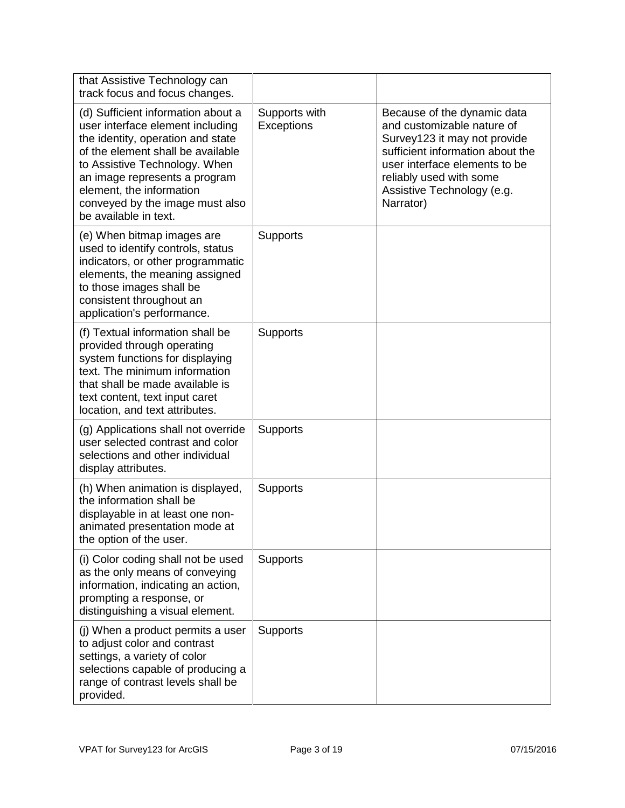| that Assistive Technology can<br>track focus and focus changes.                                                                                                                                                                                                                                            |                             |                                                                                                                                                                                                                                      |
|------------------------------------------------------------------------------------------------------------------------------------------------------------------------------------------------------------------------------------------------------------------------------------------------------------|-----------------------------|--------------------------------------------------------------------------------------------------------------------------------------------------------------------------------------------------------------------------------------|
| (d) Sufficient information about a<br>user interface element including<br>the identity, operation and state<br>of the element shall be available<br>to Assistive Technology. When<br>an image represents a program<br>element, the information<br>conveyed by the image must also<br>be available in text. | Supports with<br>Exceptions | Because of the dynamic data<br>and customizable nature of<br>Survey123 it may not provide<br>sufficient information about the<br>user interface elements to be<br>reliably used with some<br>Assistive Technology (e.g.<br>Narrator) |
| (e) When bitmap images are<br>used to identify controls, status<br>indicators, or other programmatic<br>elements, the meaning assigned<br>to those images shall be<br>consistent throughout an<br>application's performance.                                                                               | <b>Supports</b>             |                                                                                                                                                                                                                                      |
| (f) Textual information shall be<br>provided through operating<br>system functions for displaying<br>text. The minimum information<br>that shall be made available is<br>text content, text input caret<br>location, and text attributes.                                                                  | <b>Supports</b>             |                                                                                                                                                                                                                                      |
| (g) Applications shall not override<br>user selected contrast and color<br>selections and other individual<br>display attributes.                                                                                                                                                                          | <b>Supports</b>             |                                                                                                                                                                                                                                      |
| (h) When animation is displayed,<br>the information shall be<br>displayable in at least one non-<br>animated presentation mode at<br>the option of the user.                                                                                                                                               | <b>Supports</b>             |                                                                                                                                                                                                                                      |
| (i) Color coding shall not be used<br>as the only means of conveying<br>information, indicating an action,<br>prompting a response, or<br>distinguishing a visual element.                                                                                                                                 | <b>Supports</b>             |                                                                                                                                                                                                                                      |
| (j) When a product permits a user<br>to adjust color and contrast<br>settings, a variety of color<br>selections capable of producing a<br>range of contrast levels shall be<br>provided.                                                                                                                   | <b>Supports</b>             |                                                                                                                                                                                                                                      |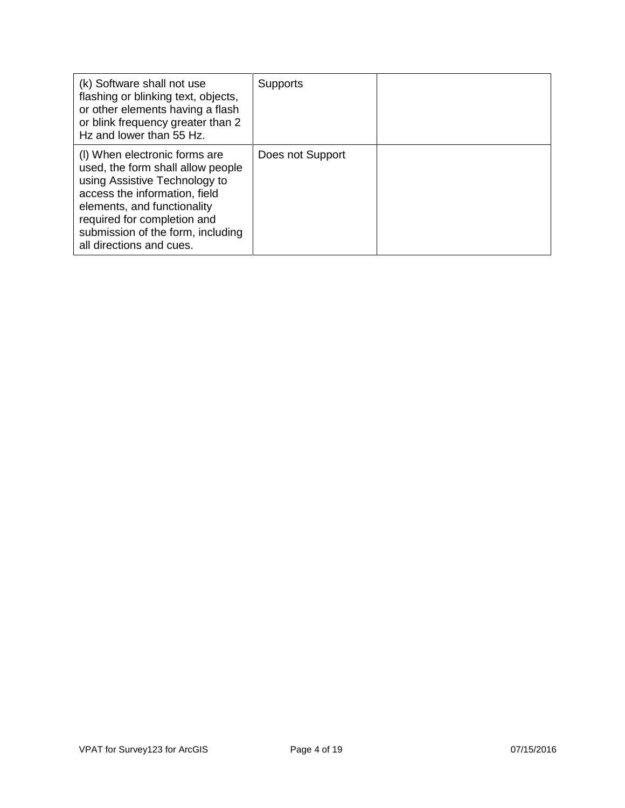| (k) Software shall not use<br>flashing or blinking text, objects,<br>or other elements having a flash<br>or blink frequency greater than 2<br>Hz and lower than 55 Hz.                                                                                              | <b>Supports</b>  |  |
|---------------------------------------------------------------------------------------------------------------------------------------------------------------------------------------------------------------------------------------------------------------------|------------------|--|
| (I) When electronic forms are<br>used, the form shall allow people<br>using Assistive Technology to<br>access the information, field<br>elements, and functionality<br>required for completion and<br>submission of the form, including<br>all directions and cues. | Does not Support |  |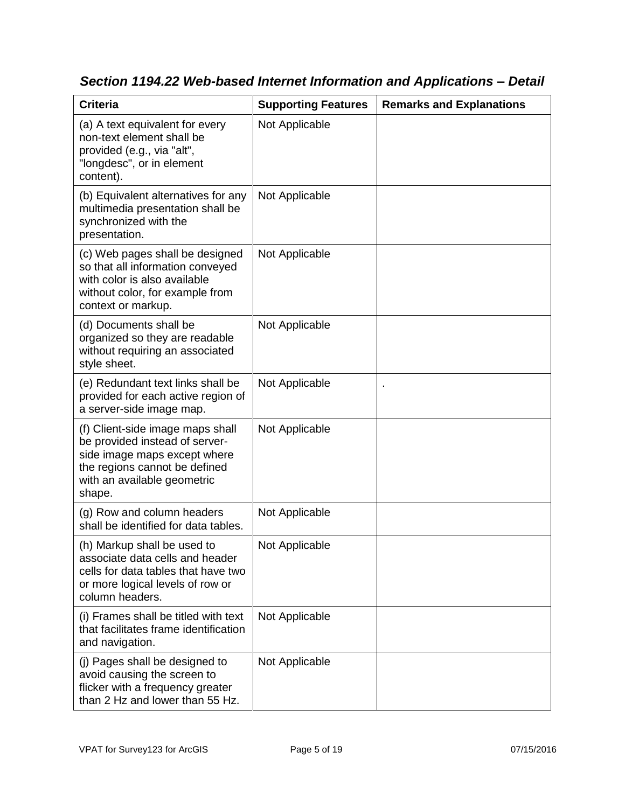| <b>Criteria</b>                                                                                                                                                              | <b>Supporting Features</b> | <b>Remarks and Explanations</b> |
|------------------------------------------------------------------------------------------------------------------------------------------------------------------------------|----------------------------|---------------------------------|
| (a) A text equivalent for every<br>non-text element shall be<br>provided (e.g., via "alt",<br>"longdesc", or in element<br>content).                                         | Not Applicable             |                                 |
| (b) Equivalent alternatives for any<br>multimedia presentation shall be<br>synchronized with the<br>presentation.                                                            | Not Applicable             |                                 |
| (c) Web pages shall be designed<br>so that all information conveyed<br>with color is also available<br>without color, for example from<br>context or markup.                 | Not Applicable             |                                 |
| (d) Documents shall be<br>organized so they are readable<br>without requiring an associated<br>style sheet.                                                                  | Not Applicable             |                                 |
| (e) Redundant text links shall be<br>provided for each active region of<br>a server-side image map.                                                                          | Not Applicable             |                                 |
| (f) Client-side image maps shall<br>be provided instead of server-<br>side image maps except where<br>the regions cannot be defined<br>with an available geometric<br>shape. | Not Applicable             |                                 |
| (g) Row and column headers<br>shall be identified for data tables.                                                                                                           | Not Applicable             |                                 |
| (h) Markup shall be used to<br>associate data cells and header<br>cells for data tables that have two<br>or more logical levels of row or<br>column headers.                 | Not Applicable             |                                 |
| (i) Frames shall be titled with text<br>that facilitates frame identification<br>and navigation.                                                                             | Not Applicable             |                                 |
| (j) Pages shall be designed to<br>avoid causing the screen to<br>flicker with a frequency greater<br>than 2 Hz and lower than 55 Hz.                                         | Not Applicable             |                                 |

*Section 1194.22 Web-based Internet Information and Applications – Detail*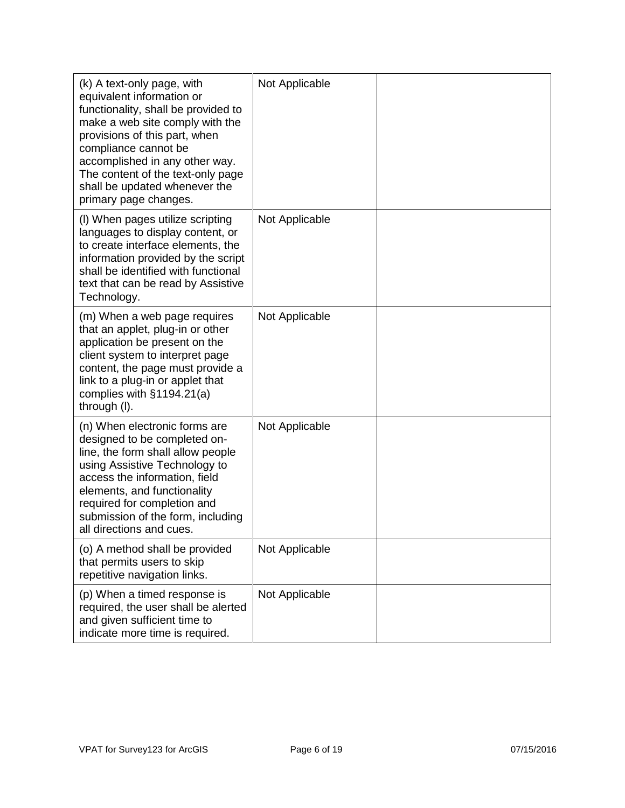| (k) A text-only page, with<br>equivalent information or<br>functionality, shall be provided to<br>make a web site comply with the<br>provisions of this part, when<br>compliance cannot be<br>accomplished in any other way.<br>The content of the text-only page<br>shall be updated whenever the<br>primary page changes. | Not Applicable |  |
|-----------------------------------------------------------------------------------------------------------------------------------------------------------------------------------------------------------------------------------------------------------------------------------------------------------------------------|----------------|--|
| (I) When pages utilize scripting<br>languages to display content, or<br>to create interface elements, the<br>information provided by the script<br>shall be identified with functional<br>text that can be read by Assistive<br>Technology.                                                                                 | Not Applicable |  |
| (m) When a web page requires<br>that an applet, plug-in or other<br>application be present on the<br>client system to interpret page<br>content, the page must provide a<br>link to a plug-in or applet that<br>complies with $§1194.21(a)$<br>through (I).                                                                 | Not Applicable |  |
| (n) When electronic forms are<br>designed to be completed on-<br>line, the form shall allow people<br>using Assistive Technology to<br>access the information, field<br>elements, and functionality<br>required for completion and<br>submission of the form, including<br>all directions and cues.                         | Not Applicable |  |
| (o) A method shall be provided<br>that permits users to skip<br>repetitive navigation links.                                                                                                                                                                                                                                | Not Applicable |  |
| (p) When a timed response is<br>required, the user shall be alerted<br>and given sufficient time to<br>indicate more time is required.                                                                                                                                                                                      | Not Applicable |  |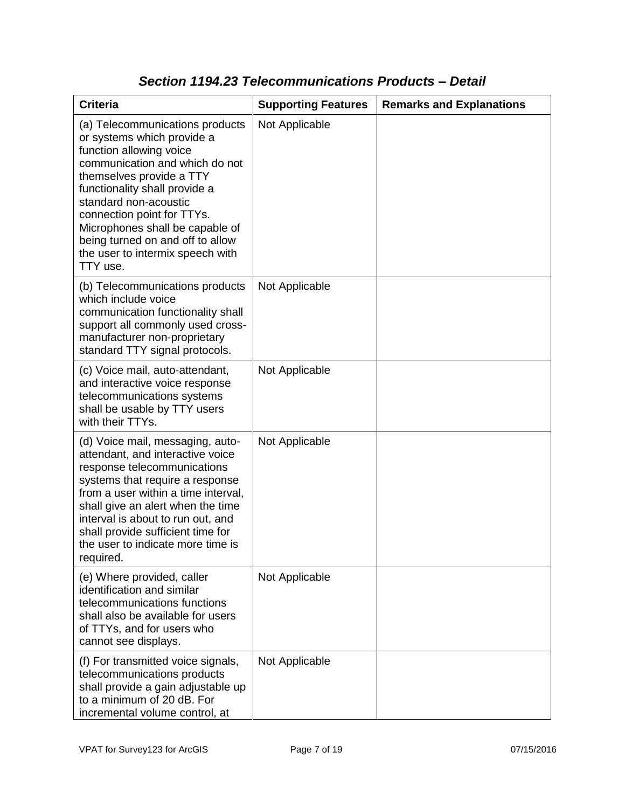| <b>Criteria</b>                                                                                                                                                                                                                                                                                                                                                       | <b>Supporting Features</b> | <b>Remarks and Explanations</b> |
|-----------------------------------------------------------------------------------------------------------------------------------------------------------------------------------------------------------------------------------------------------------------------------------------------------------------------------------------------------------------------|----------------------------|---------------------------------|
| (a) Telecommunications products<br>or systems which provide a<br>function allowing voice<br>communication and which do not<br>themselves provide a TTY<br>functionality shall provide a<br>standard non-acoustic<br>connection point for TTYs.<br>Microphones shall be capable of<br>being turned on and off to allow<br>the user to intermix speech with<br>TTY use. | Not Applicable             |                                 |
| (b) Telecommunications products<br>which include voice<br>communication functionality shall<br>support all commonly used cross-<br>manufacturer non-proprietary<br>standard TTY signal protocols.                                                                                                                                                                     | Not Applicable             |                                 |
| (c) Voice mail, auto-attendant,<br>and interactive voice response<br>telecommunications systems<br>shall be usable by TTY users<br>with their TTYs.                                                                                                                                                                                                                   | Not Applicable             |                                 |
| (d) Voice mail, messaging, auto-<br>attendant, and interactive voice<br>response telecommunications<br>systems that require a response<br>from a user within a time interval,<br>shall give an alert when the time<br>interval is about to run out, and<br>shall provide sufficient time for<br>the user to indicate more time is<br>required.                        | Not Applicable             |                                 |
| (e) Where provided, caller<br>identification and similar<br>telecommunications functions<br>shall also be available for users<br>of TTYs, and for users who<br>cannot see displays.                                                                                                                                                                                   | Not Applicable             |                                 |
| (f) For transmitted voice signals,<br>telecommunications products<br>shall provide a gain adjustable up<br>to a minimum of 20 dB. For<br>incremental volume control, at                                                                                                                                                                                               | Not Applicable             |                                 |

### *Section 1194.23 Telecommunications Products – Detail*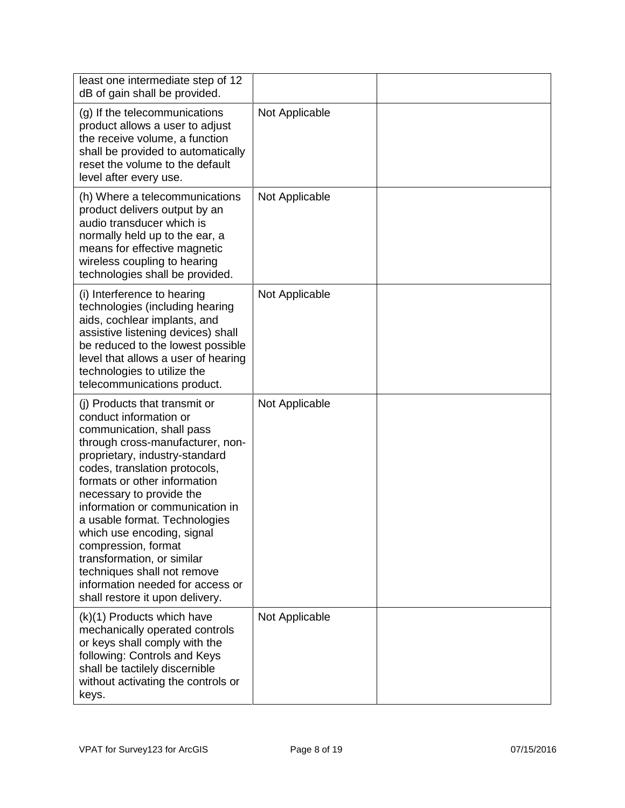| least one intermediate step of 12<br>dB of gain shall be provided.                                                                                                                                                                                                                                                                                                                                                                                                                                                   |                |  |
|----------------------------------------------------------------------------------------------------------------------------------------------------------------------------------------------------------------------------------------------------------------------------------------------------------------------------------------------------------------------------------------------------------------------------------------------------------------------------------------------------------------------|----------------|--|
| (g) If the telecommunications<br>product allows a user to adjust<br>the receive volume, a function<br>shall be provided to automatically<br>reset the volume to the default<br>level after every use.                                                                                                                                                                                                                                                                                                                | Not Applicable |  |
| (h) Where a telecommunications<br>product delivers output by an<br>audio transducer which is<br>normally held up to the ear, a<br>means for effective magnetic<br>wireless coupling to hearing<br>technologies shall be provided.                                                                                                                                                                                                                                                                                    | Not Applicable |  |
| (i) Interference to hearing<br>technologies (including hearing<br>aids, cochlear implants, and<br>assistive listening devices) shall<br>be reduced to the lowest possible<br>level that allows a user of hearing<br>technologies to utilize the<br>telecommunications product.                                                                                                                                                                                                                                       | Not Applicable |  |
| (i) Products that transmit or<br>conduct information or<br>communication, shall pass<br>through cross-manufacturer, non-<br>proprietary, industry-standard<br>codes, translation protocols,<br>formats or other information<br>necessary to provide the<br>information or communication in<br>a usable format. Technologies<br>which use encoding, signal<br>compression, format<br>transformation, or similar<br>techniques shall not remove<br>information needed for access or<br>shall restore it upon delivery. | Not Applicable |  |
| (k)(1) Products which have<br>mechanically operated controls<br>or keys shall comply with the<br>following: Controls and Keys<br>shall be tactilely discernible<br>without activating the controls or<br>keys.                                                                                                                                                                                                                                                                                                       | Not Applicable |  |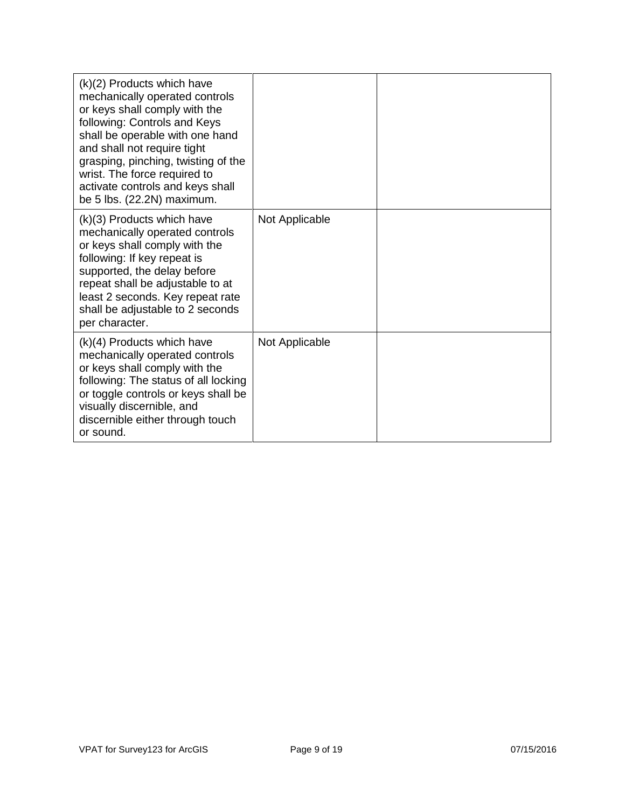| $(k)(2)$ Products which have<br>mechanically operated controls<br>or keys shall comply with the<br>following: Controls and Keys<br>shall be operable with one hand<br>and shall not require tight<br>grasping, pinching, twisting of the<br>wrist. The force required to<br>activate controls and keys shall<br>be 5 lbs. (22.2N) maximum. |                |  |
|--------------------------------------------------------------------------------------------------------------------------------------------------------------------------------------------------------------------------------------------------------------------------------------------------------------------------------------------|----------------|--|
| (k)(3) Products which have<br>mechanically operated controls<br>or keys shall comply with the<br>following: If key repeat is<br>supported, the delay before<br>repeat shall be adjustable to at<br>least 2 seconds. Key repeat rate<br>shall be adjustable to 2 seconds<br>per character.                                                  | Not Applicable |  |
| $(k)(4)$ Products which have<br>mechanically operated controls<br>or keys shall comply with the<br>following: The status of all locking<br>or toggle controls or keys shall be<br>visually discernible, and<br>discernible either through touch<br>or sound.                                                                               | Not Applicable |  |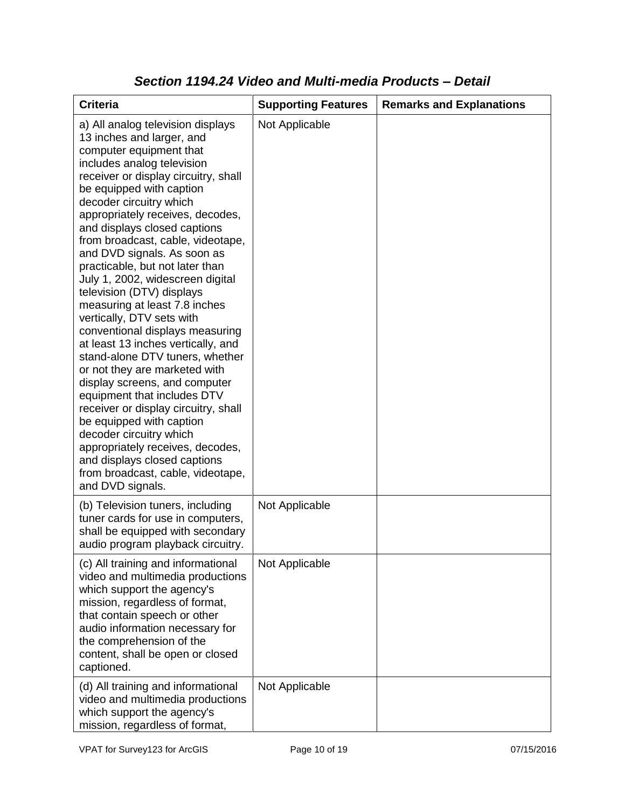| <b>Criteria</b>                                                                                                                                                                                                                                                                                                                                                                                                                                                                                                                                                                                                                                                                                                                                                                                                                                                                                                                                                           | <b>Supporting Features</b> | <b>Remarks and Explanations</b> |
|---------------------------------------------------------------------------------------------------------------------------------------------------------------------------------------------------------------------------------------------------------------------------------------------------------------------------------------------------------------------------------------------------------------------------------------------------------------------------------------------------------------------------------------------------------------------------------------------------------------------------------------------------------------------------------------------------------------------------------------------------------------------------------------------------------------------------------------------------------------------------------------------------------------------------------------------------------------------------|----------------------------|---------------------------------|
| a) All analog television displays<br>13 inches and larger, and<br>computer equipment that<br>includes analog television<br>receiver or display circuitry, shall<br>be equipped with caption<br>decoder circuitry which<br>appropriately receives, decodes,<br>and displays closed captions<br>from broadcast, cable, videotape,<br>and DVD signals. As soon as<br>practicable, but not later than<br>July 1, 2002, widescreen digital<br>television (DTV) displays<br>measuring at least 7.8 inches<br>vertically, DTV sets with<br>conventional displays measuring<br>at least 13 inches vertically, and<br>stand-alone DTV tuners, whether<br>or not they are marketed with<br>display screens, and computer<br>equipment that includes DTV<br>receiver or display circuitry, shall<br>be equipped with caption<br>decoder circuitry which<br>appropriately receives, decodes,<br>and displays closed captions<br>from broadcast, cable, videotape,<br>and DVD signals. | Not Applicable             |                                 |
| (b) Television tuners, including<br>tuner cards for use in computers,<br>shall be equipped with secondary<br>audio program playback circuitry.                                                                                                                                                                                                                                                                                                                                                                                                                                                                                                                                                                                                                                                                                                                                                                                                                            | Not Applicable             |                                 |
| (c) All training and informational<br>video and multimedia productions<br>which support the agency's<br>mission, regardless of format,<br>that contain speech or other<br>audio information necessary for<br>the comprehension of the<br>content, shall be open or closed<br>captioned.                                                                                                                                                                                                                                                                                                                                                                                                                                                                                                                                                                                                                                                                                   | Not Applicable             |                                 |
| (d) All training and informational<br>video and multimedia productions<br>which support the agency's<br>mission, regardless of format,                                                                                                                                                                                                                                                                                                                                                                                                                                                                                                                                                                                                                                                                                                                                                                                                                                    | Not Applicable             |                                 |

### *Section 1194.24 Video and Multi-media Products – Detail*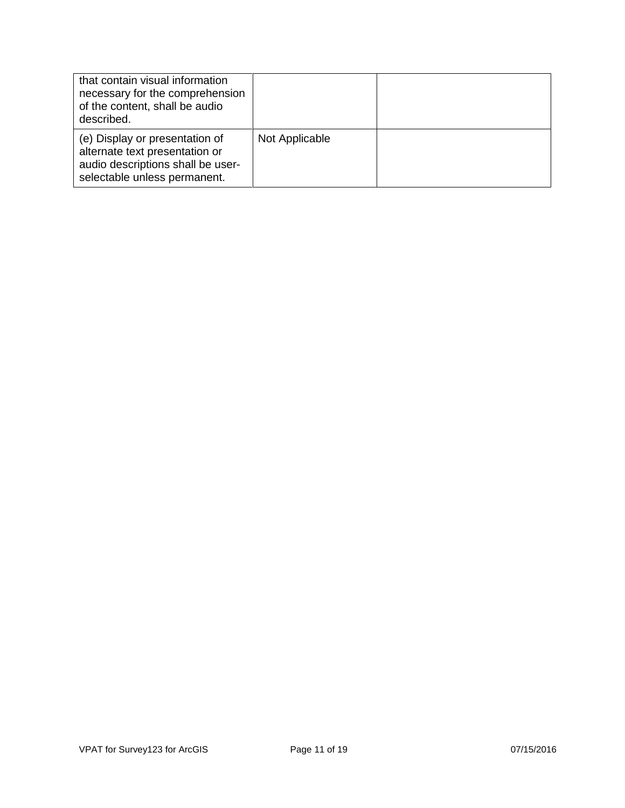| that contain visual information<br>necessary for the comprehension<br>of the content, shall be audio<br>described.                    |                |  |
|---------------------------------------------------------------------------------------------------------------------------------------|----------------|--|
| (e) Display or presentation of<br>alternate text presentation or<br>audio descriptions shall be user-<br>selectable unless permanent. | Not Applicable |  |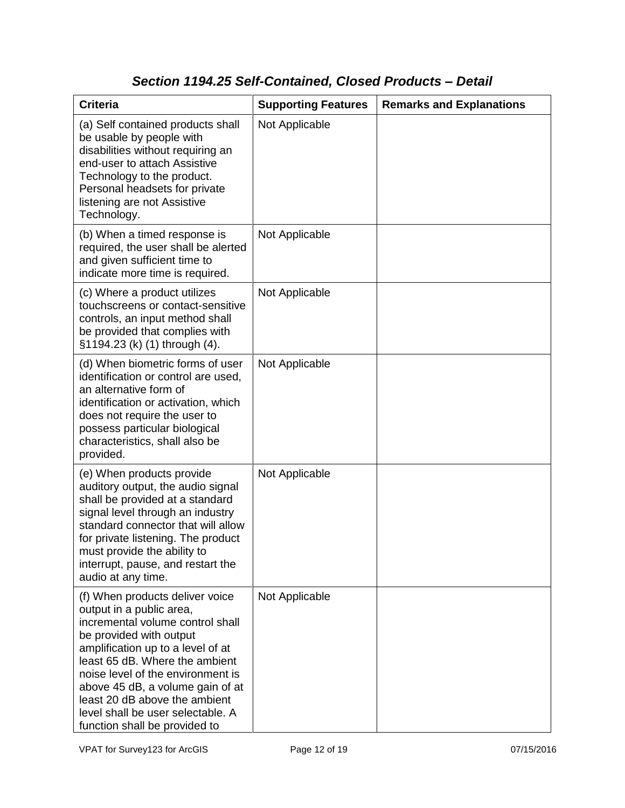## *Section 1194.25 Self-Contained, Closed Products – Detail*

| <b>Criteria</b>                                                                                                                                                                                                                                                                                                                                                                   | <b>Supporting Features</b> | <b>Remarks and Explanations</b> |
|-----------------------------------------------------------------------------------------------------------------------------------------------------------------------------------------------------------------------------------------------------------------------------------------------------------------------------------------------------------------------------------|----------------------------|---------------------------------|
| (a) Self contained products shall<br>be usable by people with<br>disabilities without requiring an<br>end-user to attach Assistive<br>Technology to the product.<br>Personal headsets for private<br>listening are not Assistive<br>Technology.                                                                                                                                   | Not Applicable             |                                 |
| (b) When a timed response is<br>required, the user shall be alerted<br>and given sufficient time to<br>indicate more time is required.                                                                                                                                                                                                                                            | Not Applicable             |                                 |
| (c) Where a product utilizes<br>touchscreens or contact-sensitive<br>controls, an input method shall<br>be provided that complies with<br>§1194.23 (k) (1) through (4).                                                                                                                                                                                                           | Not Applicable             |                                 |
| (d) When biometric forms of user<br>identification or control are used,<br>an alternative form of<br>identification or activation, which<br>does not require the user to<br>possess particular biological<br>characteristics, shall also be<br>provided.                                                                                                                          | Not Applicable             |                                 |
| (e) When products provide<br>auditory output, the audio signal<br>shall be provided at a standard<br>signal level through an industry<br>standard connector that will allow<br>for private listening. The product<br>must provide the ability to<br>interrupt, pause, and restart the<br>audio at any time.                                                                       | Not Applicable             |                                 |
| (f) When products deliver voice<br>output in a public area,<br>incremental volume control shall<br>be provided with output<br>amplification up to a level of at<br>least 65 dB. Where the ambient<br>noise level of the environment is<br>above 45 dB, a volume gain of at<br>least 20 dB above the ambient<br>level shall be user selectable. A<br>function shall be provided to | Not Applicable             |                                 |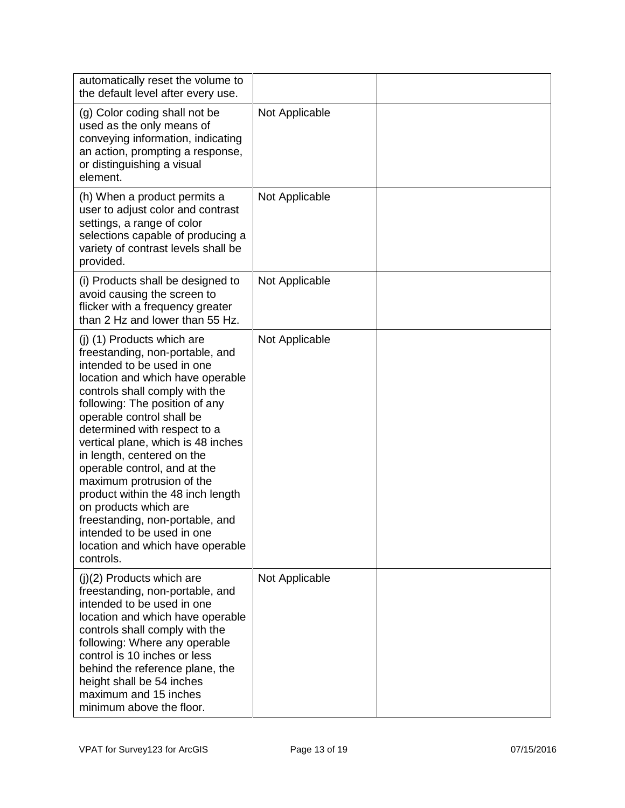| automatically reset the volume to<br>the default level after every use.                                                                                                                                                                                                                                                                                                                                                                                                                                                                                                           |                |  |
|-----------------------------------------------------------------------------------------------------------------------------------------------------------------------------------------------------------------------------------------------------------------------------------------------------------------------------------------------------------------------------------------------------------------------------------------------------------------------------------------------------------------------------------------------------------------------------------|----------------|--|
| (g) Color coding shall not be<br>used as the only means of<br>conveying information, indicating<br>an action, prompting a response,<br>or distinguishing a visual<br>element.                                                                                                                                                                                                                                                                                                                                                                                                     | Not Applicable |  |
| (h) When a product permits a<br>user to adjust color and contrast<br>settings, a range of color<br>selections capable of producing a<br>variety of contrast levels shall be<br>provided.                                                                                                                                                                                                                                                                                                                                                                                          | Not Applicable |  |
| (i) Products shall be designed to<br>avoid causing the screen to<br>flicker with a frequency greater<br>than 2 Hz and lower than 55 Hz.                                                                                                                                                                                                                                                                                                                                                                                                                                           | Not Applicable |  |
| (j) (1) Products which are<br>freestanding, non-portable, and<br>intended to be used in one<br>location and which have operable<br>controls shall comply with the<br>following: The position of any<br>operable control shall be<br>determined with respect to a<br>vertical plane, which is 48 inches<br>in length, centered on the<br>operable control, and at the<br>maximum protrusion of the<br>product within the 48 inch length<br>on products which are<br>freestanding, non-portable, and<br>intended to be used in one<br>location and which have operable<br>controls. | Not Applicable |  |
| $(j)(2)$ Products which are<br>freestanding, non-portable, and<br>intended to be used in one<br>location and which have operable<br>controls shall comply with the<br>following: Where any operable<br>control is 10 inches or less<br>behind the reference plane, the<br>height shall be 54 inches<br>maximum and 15 inches<br>minimum above the floor.                                                                                                                                                                                                                          | Not Applicable |  |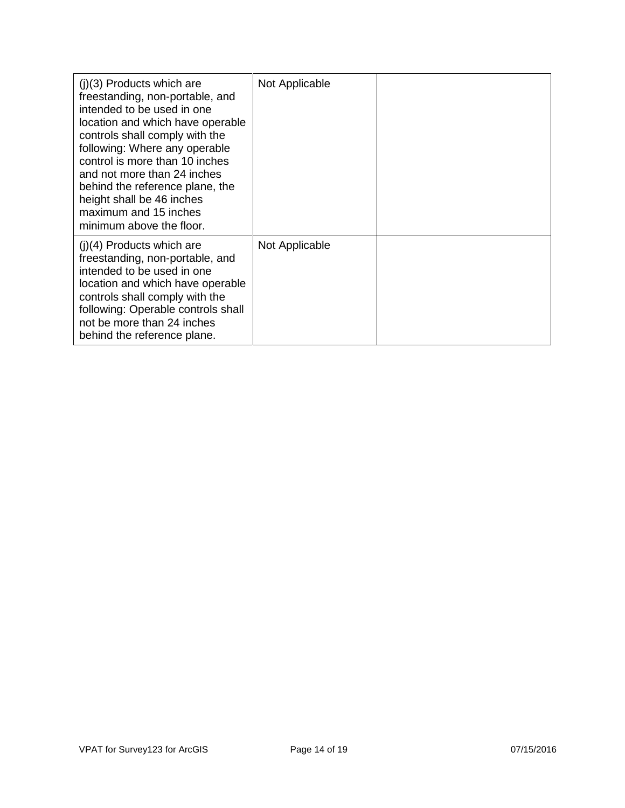| $(i)(3)$ Products which are<br>freestanding, non-portable, and<br>intended to be used in one<br>location and which have operable<br>controls shall comply with the<br>following: Where any operable<br>control is more than 10 inches<br>and not more than 24 inches<br>behind the reference plane, the<br>height shall be 46 inches<br>maximum and 15 inches<br>minimum above the floor. | Not Applicable |  |
|-------------------------------------------------------------------------------------------------------------------------------------------------------------------------------------------------------------------------------------------------------------------------------------------------------------------------------------------------------------------------------------------|----------------|--|
| $(i)(4)$ Products which are<br>freestanding, non-portable, and<br>intended to be used in one<br>location and which have operable<br>controls shall comply with the<br>following: Operable controls shall<br>not be more than 24 inches<br>behind the reference plane.                                                                                                                     | Not Applicable |  |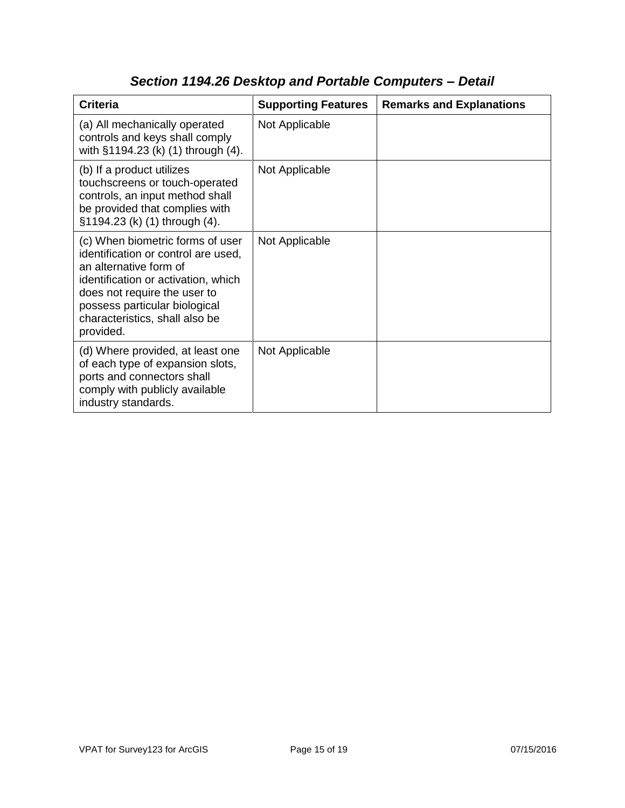| <b>Criteria</b>                                                                                                                                                                                                                                          | <b>Supporting Features</b> | <b>Remarks and Explanations</b> |
|----------------------------------------------------------------------------------------------------------------------------------------------------------------------------------------------------------------------------------------------------------|----------------------------|---------------------------------|
| (a) All mechanically operated<br>controls and keys shall comply<br>with §1194.23 (k) (1) through (4).                                                                                                                                                    | Not Applicable             |                                 |
| (b) If a product utilizes<br>touchscreens or touch-operated<br>controls, an input method shall<br>be provided that complies with<br>§1194.23 (k) (1) through (4).                                                                                        | Not Applicable             |                                 |
| (c) When biometric forms of user<br>identification or control are used,<br>an alternative form of<br>identification or activation, which<br>does not require the user to<br>possess particular biological<br>characteristics, shall also be<br>provided. | Not Applicable             |                                 |
| (d) Where provided, at least one<br>of each type of expansion slots,<br>ports and connectors shall<br>comply with publicly available<br>industry standards.                                                                                              | Not Applicable             |                                 |

## *Section 1194.26 Desktop and Portable Computers – Detail*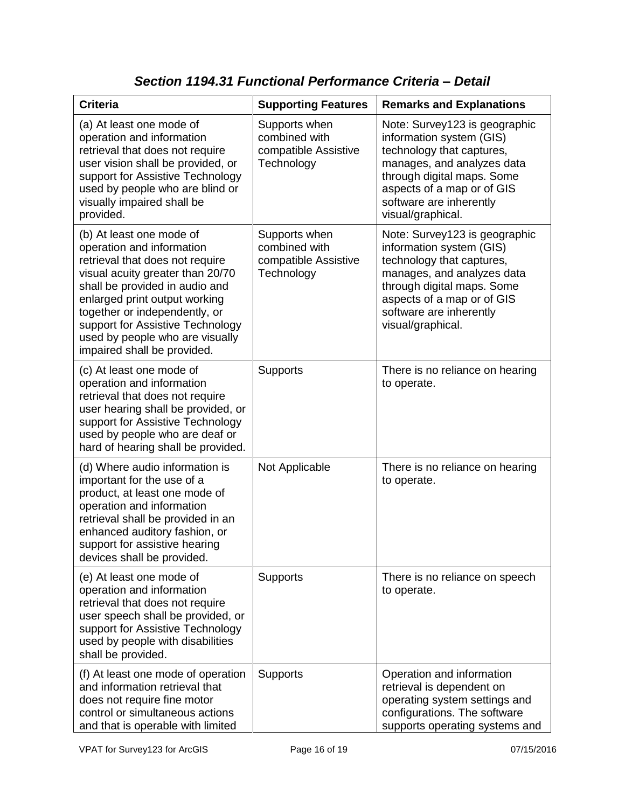| <b>Criteria</b>                                                                                                                                                                                                                                                                                                                        | <b>Supporting Features</b>                                           | <b>Remarks and Explanations</b>                                                                                                                                                                                                  |
|----------------------------------------------------------------------------------------------------------------------------------------------------------------------------------------------------------------------------------------------------------------------------------------------------------------------------------------|----------------------------------------------------------------------|----------------------------------------------------------------------------------------------------------------------------------------------------------------------------------------------------------------------------------|
| (a) At least one mode of<br>operation and information<br>retrieval that does not require<br>user vision shall be provided, or<br>support for Assistive Technology<br>used by people who are blind or<br>visually impaired shall be<br>provided.                                                                                        | Supports when<br>combined with<br>compatible Assistive<br>Technology | Note: Survey123 is geographic<br>information system (GIS)<br>technology that captures,<br>manages, and analyzes data<br>through digital maps. Some<br>aspects of a map or of GIS<br>software are inherently<br>visual/graphical. |
| (b) At least one mode of<br>operation and information<br>retrieval that does not require<br>visual acuity greater than 20/70<br>shall be provided in audio and<br>enlarged print output working<br>together or independently, or<br>support for Assistive Technology<br>used by people who are visually<br>impaired shall be provided. | Supports when<br>combined with<br>compatible Assistive<br>Technology | Note: Survey123 is geographic<br>information system (GIS)<br>technology that captures,<br>manages, and analyzes data<br>through digital maps. Some<br>aspects of a map or of GIS<br>software are inherently<br>visual/graphical. |
| (c) At least one mode of<br>operation and information<br>retrieval that does not require<br>user hearing shall be provided, or<br>support for Assistive Technology<br>used by people who are deaf or<br>hard of hearing shall be provided.                                                                                             | <b>Supports</b>                                                      | There is no reliance on hearing<br>to operate.                                                                                                                                                                                   |
| (d) Where audio information is<br>important for the use of a<br>product, at least one mode of<br>operation and information<br>retrieval shall be provided in an<br>enhanced auditory fashion, or<br>support for assistive hearing<br>devices shall be provided.                                                                        | Not Applicable                                                       | There is no reliance on hearing<br>to operate.                                                                                                                                                                                   |
| (e) At least one mode of<br>operation and information<br>retrieval that does not require<br>user speech shall be provided, or<br>support for Assistive Technology<br>used by people with disabilities<br>shall be provided.                                                                                                            | Supports                                                             | There is no reliance on speech<br>to operate.                                                                                                                                                                                    |
| (f) At least one mode of operation<br>and information retrieval that<br>does not require fine motor<br>control or simultaneous actions<br>and that is operable with limited                                                                                                                                                            | <b>Supports</b>                                                      | Operation and information<br>retrieval is dependent on<br>operating system settings and<br>configurations. The software<br>supports operating systems and                                                                        |

*Section 1194.31 Functional Performance Criteria – Detail*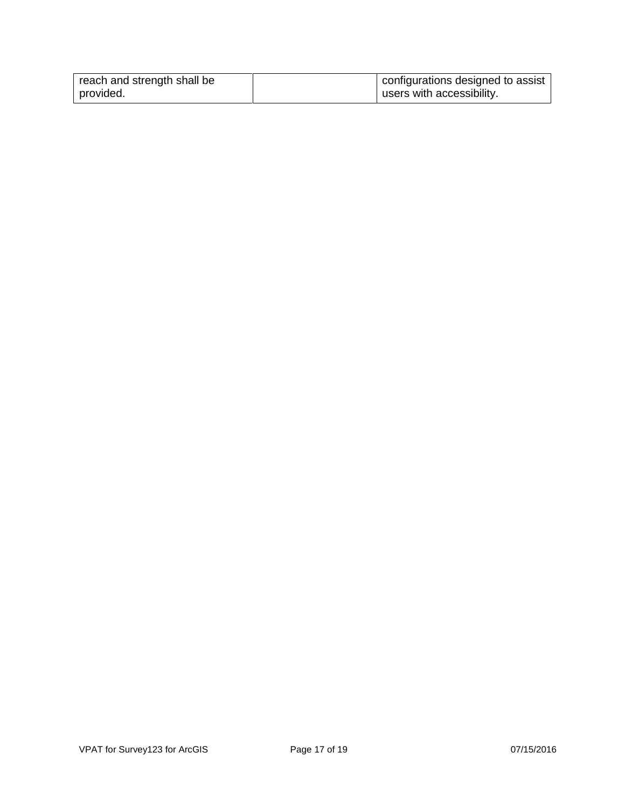| reach and strength shall be | configurations designed to assist |
|-----------------------------|-----------------------------------|
| provided.                   | users with accessibility.         |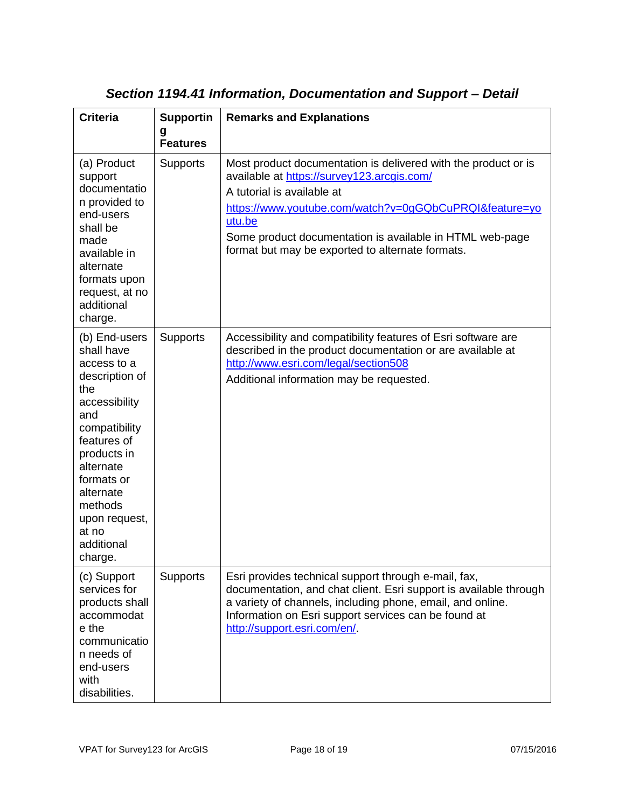| <b>Criteria</b>                                                                                                                                                                                                                                  | <b>Supportin</b><br>g<br><b>Features</b> | <b>Remarks and Explanations</b>                                                                                                                                                                                                                                                                                                |
|--------------------------------------------------------------------------------------------------------------------------------------------------------------------------------------------------------------------------------------------------|------------------------------------------|--------------------------------------------------------------------------------------------------------------------------------------------------------------------------------------------------------------------------------------------------------------------------------------------------------------------------------|
| (a) Product<br>support<br>documentatio<br>n provided to<br>end-users<br>shall be<br>made<br>available in<br>alternate<br>formats upon<br>request, at no<br>additional<br>charge.                                                                 | <b>Supports</b>                          | Most product documentation is delivered with the product or is<br>available at https://survey123.arcgis.com/<br>A tutorial is available at<br>https://www.youtube.com/watch?v=0gGQbCuPRQI&feature=yo<br>utu.be<br>Some product documentation is available in HTML web-page<br>format but may be exported to alternate formats. |
| (b) End-users<br>shall have<br>access to a<br>description of<br>the<br>accessibility<br>and<br>compatibility<br>features of<br>products in<br>alternate<br>formats or<br>alternate<br>methods<br>upon request,<br>at no<br>additional<br>charge. | Supports                                 | Accessibility and compatibility features of Esri software are<br>described in the product documentation or are available at<br>http://www.esri.com/legal/section508<br>Additional information may be requested.                                                                                                                |
| (c) Support<br>services for<br>products shall<br>accommodat<br>e the<br>communicatio<br>n needs of<br>end-users<br>with<br>disabilities.                                                                                                         | <b>Supports</b>                          | Esri provides technical support through e-mail, fax,<br>documentation, and chat client. Esri support is available through<br>a variety of channels, including phone, email, and online.<br>Information on Esri support services can be found at<br>http://support.esri.com/en/.                                                |

### *Section 1194.41 Information, Documentation and Support – Detail*